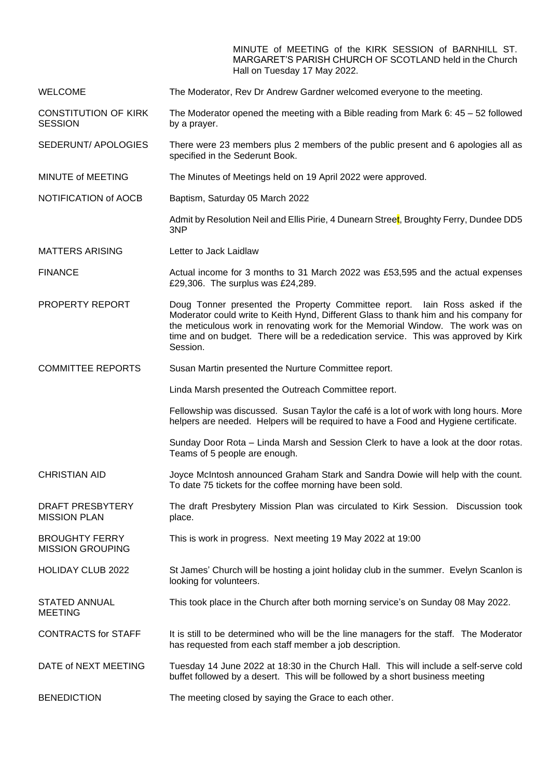MINUTE of MEETING of the KIRK SESSION of BARNHILL ST. MARGARET'S PARISH CHURCH OF SCOTLAND held in the Church Hall on Tuesday 17 May 2022.

WELCOME The Moderator, Rev Dr Andrew Gardner welcomed everyone to the meeting.

CONSTITUTION OF KIRK **SESSION** The Moderator opened the meeting with a Bible reading from Mark 6:  $45 - 52$  followed by a prayer.

SEDERUNT/ APOLOGIES There were 23 members plus 2 members of the public present and 6 apologies all as specified in the Sederunt Book.

- MINUTE of MEETING The Minutes of Meetings held on 19 April 2022 were approved.
- NOTIFICATION of AOCB Baptism, Saturday 05 March 2022

Admit by Resolution Neil and Ellis Pirie, 4 Dunearn Street, Broughty Ferry, Dundee DD5 3NP

MATTERS ARISING Letter to Jack Laidlaw

FINANCE Actual income for 3 months to 31 March 2022 was £53,595 and the actual expenses £29,306. The surplus was £24,289.

- PROPERTY REPORT Doug Tonner presented the Property Committee report. Iain Ross asked if the Moderator could write to Keith Hynd, Different Glass to thank him and his company for the meticulous work in renovating work for the Memorial Window. The work was on time and on budget. There will be a rededication service. This was approved by Kirk Session.
- COMMITTEE REPORTS Susan Martin presented the Nurture Committee report.

Linda Marsh presented the Outreach Committee report.

Fellowship was discussed. Susan Taylor the café is a lot of work with long hours. More helpers are needed. Helpers will be required to have a Food and Hygiene certificate.

Sunday Door Rota – Linda Marsh and Session Clerk to have a look at the door rotas. Teams of 5 people are enough.

CHRISTIAN AID Joyce McIntosh announced Graham Stark and Sandra Dowie will help with the count. To date 75 tickets for the coffee morning have been sold.

DRAFT PRESBYTERY MISSION PLAN The draft Presbytery Mission Plan was circulated to Kirk Session. Discussion took place.

BROUGHTY FERRY MISSION GROUPING This is work in progress. Next meeting 19 May 2022 at 19:00

HOLIDAY CLUB 2022 St James' Church will be hosting a joint holiday club in the summer. Evelyn Scanlon is looking for volunteers.

STATED ANNUAL MEETING This took place in the Church after both morning service's on Sunday 08 May 2022.

CONTRACTS for STAFF It is still to be determined who will be the line managers for the staff. The Moderator has requested from each staff member a job description.

DATE of NEXT MEETING Tuesday 14 June 2022 at 18:30 in the Church Hall. This will include a self-serve cold buffet followed by a desert. This will be followed by a short business meeting

**BENEDICTION** The meeting closed by saying the Grace to each other.